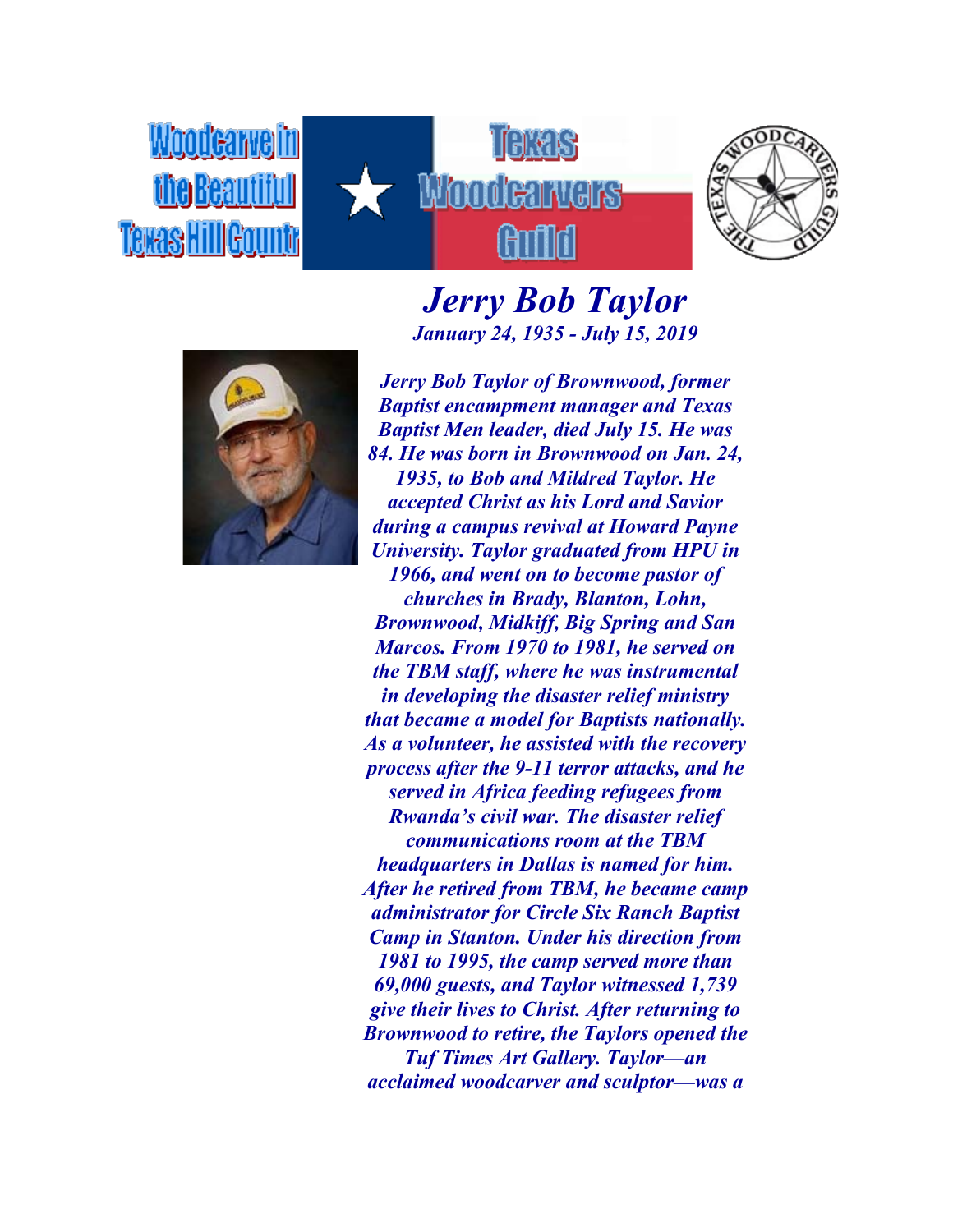Woodcarvelin TARR Wandi **Teras HillGount** 



## *Jerry Bob Taylor January 24, 1935 - July 15, 2019*



*Jerry Bob Taylor of Brownwood, former Baptist encampment manager and Texas Baptist Men leader, died July 15. He was 84. He was born in Brownwood on Jan. 24, 1935, to Bob and Mildred Taylor. He accepted Christ as his Lord and Savior during a campus revival at Howard Payne University. Taylor graduated from HPU in 1966, and went on to become pastor of churches in Brady, Blanton, Lohn, Brownwood, Midkiff, Big Spring and San Marcos. From 1970 to 1981, he served on the TBM staff, where he was instrumental in developing the disaster relief ministry that became a model for Baptists nationally. As a volunteer, he assisted with the recovery process after the 9-11 terror attacks, and he served in Africa feeding refugees from Rwanda's civil war. The disaster relief communications room at the TBM headquarters in Dallas is named for him. After he retired from TBM, he became camp administrator for Circle Six Ranch Baptist Camp in Stanton. Under his direction from 1981 to 1995, the camp served more than 69,000 guests, and Taylor witnessed 1,739 give their lives to Christ. After returning to Brownwood to retire, the Taylors opened the Tuf Times Art Gallery. Taylor—an acclaimed woodcarver and sculptor—was a*